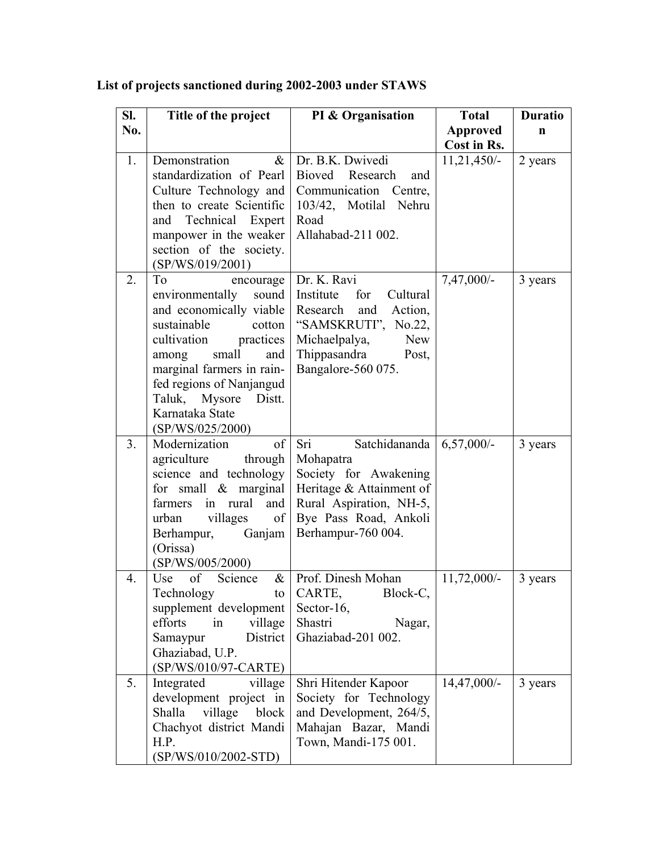| SI.            | Title of the project                             | PI & Organisation                                 | <b>Total</b>    | <b>Duratio</b> |
|----------------|--------------------------------------------------|---------------------------------------------------|-----------------|----------------|
| No.            |                                                  |                                                   | <b>Approved</b> | n              |
|                |                                                  |                                                   | Cost in Rs.     |                |
| 1.             | Demonstration<br>$\&$                            | Dr. B.K. Dwivedi                                  | $11,21,450/-$   | 2 years        |
|                | standardization of Pearl                         | Bioved Research<br>and                            |                 |                |
|                | Culture Technology and                           | Communication<br>Centre,                          |                 |                |
|                | then to create Scientific                        | 103/42, Motilal Nehru                             |                 |                |
|                | and Technical Expert                             | Road                                              |                 |                |
|                | manpower in the weaker                           | Allahabad-211 002.                                |                 |                |
|                | section of the society.                          |                                                   |                 |                |
|                | (SP/WS/019/2001)                                 |                                                   |                 |                |
| 2.             | T <sub>o</sub><br>encourage                      | Dr. K. Ravi                                       | $7,47,000/-$    | 3 years        |
|                | sound<br>environmentally                         | Institute<br>for<br>Cultural                      |                 |                |
|                | and economically viable<br>sustainable<br>cotton | and<br>Action,<br>Research<br>"SAMSKRUTI", No.22, |                 |                |
|                | practices<br>cultivation                         | Michaelpalya,<br><b>New</b>                       |                 |                |
|                | small<br>among<br>and                            | Thippasandra<br>Post,                             |                 |                |
|                | marginal farmers in rain-                        | Bangalore-560 075.                                |                 |                |
|                | fed regions of Nanjangud                         |                                                   |                 |                |
|                | Taluk, Mysore<br>Distt.                          |                                                   |                 |                |
|                | Karnataka State                                  |                                                   |                 |                |
|                | (SP/WS/025/2000)                                 |                                                   |                 |                |
| 3 <sub>1</sub> | Modernization<br>of                              | Sri<br>Satchidananda                              | $6,57,000/-$    | 3 years        |
|                | agriculture<br>through                           | Mohapatra                                         |                 |                |
|                | science and technology                           | Society for Awakening                             |                 |                |
|                | for small $\&$ marginal                          | Heritage & Attainment of                          |                 |                |
|                | in rural<br>farmers<br>and                       | Rural Aspiration, NH-5,                           |                 |                |
|                | villages<br>of<br>urban                          | Bye Pass Road, Ankoli                             |                 |                |
|                | Ganjam<br>Berhampur,                             | Berhampur-760 004.                                |                 |                |
|                | (Orissa)<br>(SP/WS/005/2000)                     |                                                   |                 |                |
| 4.             | Use<br>of<br>Science<br>$\&$                     | Prof. Dinesh Mohan                                | $11,72,000/-$   | 3 years        |
|                | Technology<br>to                                 | CARTE,<br>Block-C,                                |                 |                |
|                | supplement development                           | Sector-16,                                        |                 |                |
|                | efforts<br>village<br>in                         | Shastri<br>Nagar,                                 |                 |                |
|                | Samaypur<br>District                             | Ghaziabad-201 002.                                |                 |                |
|                | Ghaziabad, U.P.                                  |                                                   |                 |                |
|                | (SP/WS/010/97-CARTE)                             |                                                   |                 |                |
| 5.             | Integrated<br>village                            | Shri Hitender Kapoor                              | 14,47,000/-     | 3 years        |
|                | development project in                           | Society for Technology                            |                 |                |
|                | Shalla<br>village<br>block                       | and Development, 264/5,                           |                 |                |
|                | Chachyot district Mandi                          | Mahajan Bazar, Mandi                              |                 |                |
|                | H.P.                                             | Town, Mandi-175 001.                              |                 |                |
|                | (SP/WS/010/2002-STD)                             |                                                   |                 |                |

## **List of projects sanctioned during 2002-2003 under STAWS**